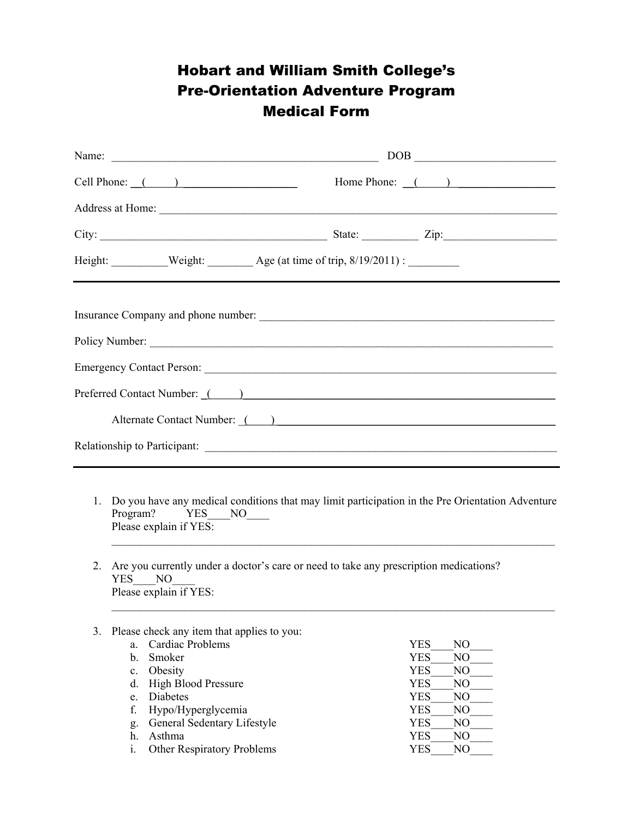## Hobart and William Smith College's Pre-Orientation Adventure Program Medical Form

|                                                                                                                                                                                                                                      | $\begin{tabular}{ c c c c } \hline \multicolumn{3}{ c }{\text{DOB}} & \multicolumn{3}{ c }{\text{LOB}} \\ \hline \multicolumn{3}{ c }{\text{DOB}} & \multicolumn{3}{ c }{\text{LOB}} \\ \hline \multicolumn{3}{ c }{\text{DOB}} & \multicolumn{3}{ c }{\text{LOB}} \\ \hline \multicolumn{3}{ c }{\text{DOB}} & \multicolumn{3}{ c }{\text{DOB}} \\ \hline \multicolumn{3}{ c }{\text{DOB}} & \multicolumn{3}{ c }{\text{DOB}} \\ \hline \multicolumn{3$ |  |  |  |
|--------------------------------------------------------------------------------------------------------------------------------------------------------------------------------------------------------------------------------------|----------------------------------------------------------------------------------------------------------------------------------------------------------------------------------------------------------------------------------------------------------------------------------------------------------------------------------------------------------------------------------------------------------------------------------------------------------|--|--|--|
| Cell Phone: $($ $)$                                                                                                                                                                                                                  | Home Phone: $($                                                                                                                                                                                                                                                                                                                                                                                                                                          |  |  |  |
| Address at Home: <u>New York: New York: New York: New York: New York: New York: New York: New York: New York: New York: New York: New York: New York: New York: New York: New York: New York: New York: New York: New York: New </u> |                                                                                                                                                                                                                                                                                                                                                                                                                                                          |  |  |  |
|                                                                                                                                                                                                                                      |                                                                                                                                                                                                                                                                                                                                                                                                                                                          |  |  |  |
|                                                                                                                                                                                                                                      |                                                                                                                                                                                                                                                                                                                                                                                                                                                          |  |  |  |
|                                                                                                                                                                                                                                      |                                                                                                                                                                                                                                                                                                                                                                                                                                                          |  |  |  |
|                                                                                                                                                                                                                                      |                                                                                                                                                                                                                                                                                                                                                                                                                                                          |  |  |  |
|                                                                                                                                                                                                                                      |                                                                                                                                                                                                                                                                                                                                                                                                                                                          |  |  |  |
|                                                                                                                                                                                                                                      |                                                                                                                                                                                                                                                                                                                                                                                                                                                          |  |  |  |
| Preferred Contact Number: ()                                                                                                                                                                                                         |                                                                                                                                                                                                                                                                                                                                                                                                                                                          |  |  |  |
|                                                                                                                                                                                                                                      | Alternate Contact Number: ( )                                                                                                                                                                                                                                                                                                                                                                                                                            |  |  |  |
|                                                                                                                                                                                                                                      |                                                                                                                                                                                                                                                                                                                                                                                                                                                          |  |  |  |
|                                                                                                                                                                                                                                      |                                                                                                                                                                                                                                                                                                                                                                                                                                                          |  |  |  |

1. Do you have any medical conditions that may limit participation in the Pre Orientation Adventure Program? YES NO Please explain if YES:

 $\mathcal{L}_\mathcal{L} = \{ \mathcal{L}_\mathcal{L} = \{ \mathcal{L}_\mathcal{L} = \{ \mathcal{L}_\mathcal{L} = \{ \mathcal{L}_\mathcal{L} = \{ \mathcal{L}_\mathcal{L} = \{ \mathcal{L}_\mathcal{L} = \{ \mathcal{L}_\mathcal{L} = \{ \mathcal{L}_\mathcal{L} = \{ \mathcal{L}_\mathcal{L} = \{ \mathcal{L}_\mathcal{L} = \{ \mathcal{L}_\mathcal{L} = \{ \mathcal{L}_\mathcal{L} = \{ \mathcal{L}_\mathcal{L} = \{ \mathcal{L}_\mathcal{$ 

 $\_$  , and the contribution of the contribution of the contribution of the contribution of  $\mathcal{L}_\text{max}$ 

- 2. Are you currently under a doctor's care or need to take any prescription medications? YES NO Please explain if YES:
- 3. Please check any item that applies to you: a. Cardiac Problems YES NO b. Smoker NO c. Obesity **YES** NO d. High Blood Pressure YES NO e. Diabetes NO f. Hypo/Hyperglycemia YES NO g. General Sedentary Lifestyle YES NO h. Asthma YES NO i. Other Respiratory Problems YES NO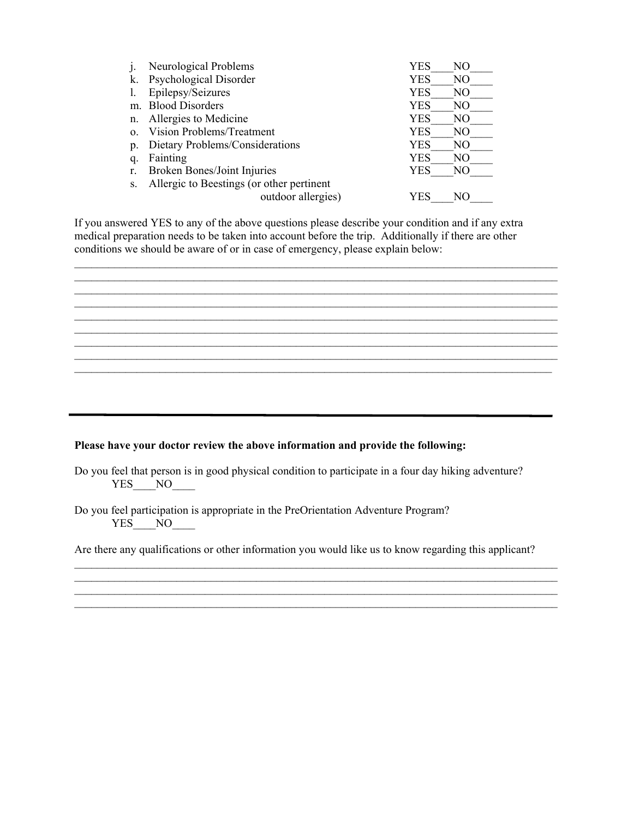|          | Neurological Problems                     | YES        | NO  |
|----------|-------------------------------------------|------------|-----|
| k.       | Psychological Disorder                    | <b>YES</b> | NO  |
|          | Epilepsy/Seizures                         | YES        | NO  |
|          | m. Blood Disorders                        | YES        | NO  |
| n.       | Allergies to Medicine                     | <b>YES</b> | NO  |
| $\Omega$ | <b>Vision Problems/Treatment</b>          | <b>YES</b> | NO. |
| p.       | Dietary Problems/Considerations           | YES        | NO  |
| q.       | Fainting                                  | <b>YES</b> | NO. |
|          | Broken Bones/Joint Injuries               | <b>YES</b> | NO  |
|          | Allergic to Beestings (or other pertinent |            |     |
|          | outdoor allergies)                        | YES        | NО  |

If you answered YES to any of the above questions please describe your condition and if any extra medical preparation needs to be taken into account before the trip. Additionally if there are other conditions we should be aware of or in case of emergency, please explain below:

 $\mathcal{L}_\text{max} = \mathcal{L}_\text{max} = \mathcal{L}_\text{max} = \mathcal{L}_\text{max} = \mathcal{L}_\text{max} = \mathcal{L}_\text{max} = \mathcal{L}_\text{max} = \mathcal{L}_\text{max} = \mathcal{L}_\text{max} = \mathcal{L}_\text{max} = \mathcal{L}_\text{max} = \mathcal{L}_\text{max} = \mathcal{L}_\text{max} = \mathcal{L}_\text{max} = \mathcal{L}_\text{max} = \mathcal{L}_\text{max} = \mathcal{L}_\text{max} = \mathcal{L}_\text{max} = \mathcal{$ 

 $\mathcal{L}_\text{max} = \mathcal{L}_\text{max} = \mathcal{L}_\text{max} = \mathcal{L}_\text{max} = \mathcal{L}_\text{max} = \mathcal{L}_\text{max} = \mathcal{L}_\text{max} = \mathcal{L}_\text{max} = \mathcal{L}_\text{max} = \mathcal{L}_\text{max} = \mathcal{L}_\text{max} = \mathcal{L}_\text{max} = \mathcal{L}_\text{max} = \mathcal{L}_\text{max} = \mathcal{L}_\text{max} = \mathcal{L}_\text{max} = \mathcal{L}_\text{max} = \mathcal{L}_\text{max} = \mathcal{$  $\mathcal{L}_\text{max} = \mathcal{L}_\text{max} = \mathcal{L}_\text{max} = \mathcal{L}_\text{max} = \mathcal{L}_\text{max} = \mathcal{L}_\text{max} = \mathcal{L}_\text{max} = \mathcal{L}_\text{max} = \mathcal{L}_\text{max} = \mathcal{L}_\text{max} = \mathcal{L}_\text{max} = \mathcal{L}_\text{max} = \mathcal{L}_\text{max} = \mathcal{L}_\text{max} = \mathcal{L}_\text{max} = \mathcal{L}_\text{max} = \mathcal{L}_\text{max} = \mathcal{L}_\text{max} = \mathcal{$ 

 $\mathcal{L}_\text{max} = \mathcal{L}_\text{max} = \mathcal{L}_\text{max} = \mathcal{L}_\text{max} = \mathcal{L}_\text{max} = \mathcal{L}_\text{max} = \mathcal{L}_\text{max} = \mathcal{L}_\text{max} = \mathcal{L}_\text{max} = \mathcal{L}_\text{max} = \mathcal{L}_\text{max} = \mathcal{L}_\text{max} = \mathcal{L}_\text{max} = \mathcal{L}_\text{max} = \mathcal{L}_\text{max} = \mathcal{L}_\text{max} = \mathcal{L}_\text{max} = \mathcal{L}_\text{max} = \mathcal{$  $\_$ 

 $\mathcal{L}_\text{max}$ 

## **Please have your doctor review the above information and provide the following:**

Do you feel that person is in good physical condition to participate in a four day hiking adventure?  $YES$   $NO$   $\qquad$ 

Do you feel participation is appropriate in the PreOrientation Adventure Program? YES NO

Are there any qualifications or other information you would like us to know regarding this applicant?

 $\mathcal{L}_\text{max}$  and  $\mathcal{L}_\text{max}$  and  $\mathcal{L}_\text{max}$  and  $\mathcal{L}_\text{max}$  and  $\mathcal{L}_\text{max}$  and  $\mathcal{L}_\text{max}$ 

 $\mathcal{L}_\text{max} = \mathcal{L}_\text{max} = \mathcal{L}_\text{max} = \mathcal{L}_\text{max} = \mathcal{L}_\text{max} = \mathcal{L}_\text{max} = \mathcal{L}_\text{max} = \mathcal{L}_\text{max} = \mathcal{L}_\text{max} = \mathcal{L}_\text{max} = \mathcal{L}_\text{max} = \mathcal{L}_\text{max} = \mathcal{L}_\text{max} = \mathcal{L}_\text{max} = \mathcal{L}_\text{max} = \mathcal{L}_\text{max} = \mathcal{L}_\text{max} = \mathcal{L}_\text{max} = \mathcal{$ 

 $\mathcal{L}_\mathcal{L} = \{ \mathcal{L}_\mathcal{L} = \{ \mathcal{L}_\mathcal{L} = \{ \mathcal{L}_\mathcal{L} = \{ \mathcal{L}_\mathcal{L} = \{ \mathcal{L}_\mathcal{L} = \{ \mathcal{L}_\mathcal{L} = \{ \mathcal{L}_\mathcal{L} = \{ \mathcal{L}_\mathcal{L} = \{ \mathcal{L}_\mathcal{L} = \{ \mathcal{L}_\mathcal{L} = \{ \mathcal{L}_\mathcal{L} = \{ \mathcal{L}_\mathcal{L} = \{ \mathcal{L}_\mathcal{L} = \{ \mathcal{L}_\mathcal{$